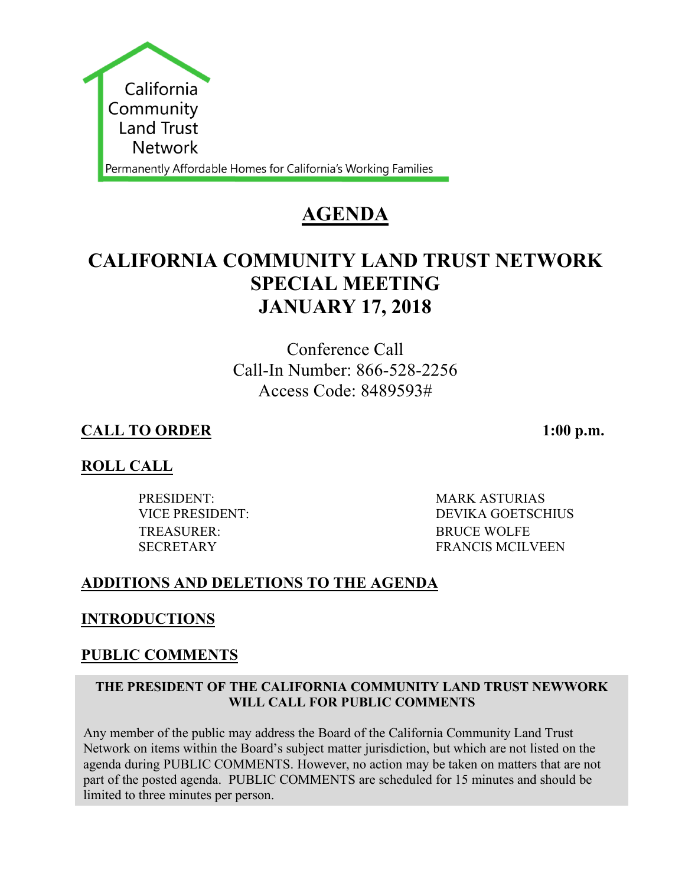

# **AGENDA**

# **CALIFORNIA COMMUNITY LAND TRUST NETWORK SPECIAL MEETING JANUARY 17, 2018**

Conference Call Call-In Number: 866-528-2256 Access Code: 8489593#

# **CALL TO ORDER 1:00 p.m.**

# **ROLL CALL**

PRESIDENT: MARK ASTURIAS TREASURER: BRUCE WOLFE

VICE PRESIDENT: DEVIKA GOETSCHIUS SECRETARY FRANCIS MCILVEEN

## **ADDITIONS AND DELETIONS TO THE AGENDA**

## **INTRODUCTIONS**

## **PUBLIC COMMENTS**

#### **THE PRESIDENT OF THE CALIFORNIA COMMUNITY LAND TRUST NEWWORK WILL CALL FOR PUBLIC COMMENTS**

Any member of the public may address the Board of the California Community Land Trust Network on items within the Board's subject matter jurisdiction, but which are not listed on the agenda during PUBLIC COMMENTS. However, no action may be taken on matters that are not part of the posted agenda. PUBLIC COMMENTS are scheduled for 15 minutes and should be limited to three minutes per person.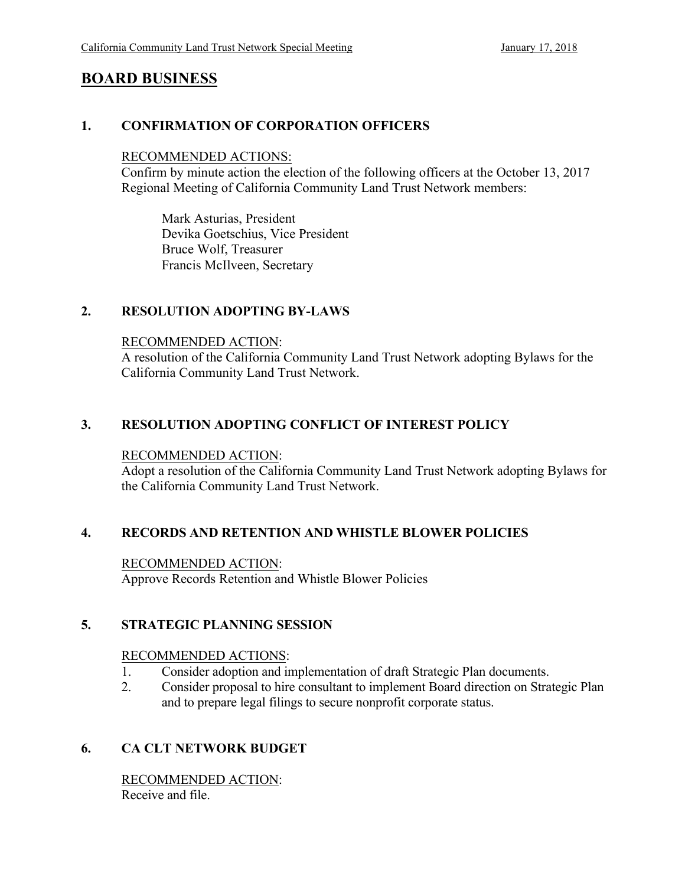## **BOARD BUSINESS**

#### **1. CONFIRMATION OF CORPORATION OFFICERS**

#### RECOMMENDED ACTIONS:

Confirm by minute action the election of the following officers at the October 13, 2017 Regional Meeting of California Community Land Trust Network members:

Mark Asturias, President Devika Goetschius, Vice President Bruce Wolf, Treasurer Francis McIlveen, Secretary

#### **2. RESOLUTION ADOPTING BY-LAWS**

#### RECOMMENDED ACTION:

A resolution of the California Community Land Trust Network adopting Bylaws for the California Community Land Trust Network.

#### **3. RESOLUTION ADOPTING CONFLICT OF INTEREST POLICY**

#### RECOMMENDED ACTION:

Adopt a resolution of the California Community Land Trust Network adopting Bylaws for the California Community Land Trust Network.

#### **4. RECORDS AND RETENTION AND WHISTLE BLOWER POLICIES**

RECOMMENDED ACTION: Approve Records Retention and Whistle Blower Policies

#### **5. STRATEGIC PLANNING SESSION**

#### RECOMMENDED ACTIONS:

- 1. Consider adoption and implementation of draft Strategic Plan documents.
- 2. Consider proposal to hire consultant to implement Board direction on Strategic Plan and to prepare legal filings to secure nonprofit corporate status.

#### **6. CA CLT NETWORK BUDGET**

RECOMMENDED ACTION: Receive and file